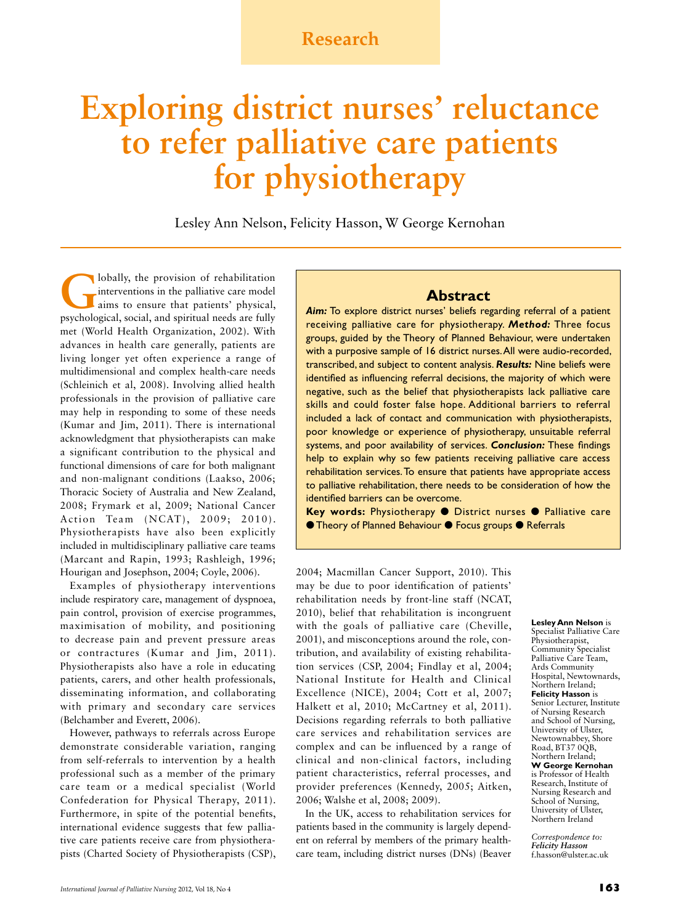# **Exploring district nurses' reluctance to refer palliative care patients for physiotherapy**

Lesley Ann Nelson, Felicity Hasson, W George Kernohan

**G**lobally, the provision of rehabilitation interventions in the palliative care model aims to ensure that patients' physical, psychological, social, and spiritual needs are fully met (World Health Organization, 2002). With advances in health care generally, patients are living longer yet often experience a range of multidimensional and complex health-care needs (Schleinich et al, 2008). Involving allied health professionals in the provision of palliative care may help in responding to some of these needs (Kumar and Jim, 2011). There is international acknowledgment that physiotherapists can make a significant contribution to the physical and functional dimensions of care for both malignant and non-malignant conditions (Laakso, 2006; Thoracic Society of Australia and New Zealand, 2008; Frymark et al, 2009; National Cancer Action Team (NCAT), 2009; 2010). Physiotherapists have also been explicitly included in multidisciplinary palliative care teams (Marcant and Rapin, 1993; Rashleigh, 1996; Hourigan and Josephson, 2004; Coyle, 2006).

Examples of physiotherapy interventions include respiratory care, management of dyspnoea, pain control, provision of exercise programmes, maximisation of mobility, and positioning to decrease pain and prevent pressure areas or contractures (Kumar and Jim, 2011). Physiotherapists also have a role in educating patients, carers, and other health professionals, disseminating information, and collaborating with primary and secondary care services (Belchamber and Everett, 2006).

However, pathways to referrals across Europe demonstrate considerable variation, ranging from self-referrals to intervention by a health professional such as a member of the primary care team or a medical specialist (World Confederation for Physical Therapy, 2011). Furthermore, in spite of the potential benefits, international evidence suggests that few palliative care patients receive care from physiotherapists (Charted Society of Physiotherapists (CSP),

## **Abstract**

Aim: To explore district nurses' beliefs regarding referral of a patient receiving palliative care for physiotherapy. *Method:* Three focus groups, guided by the Theory of Planned Behaviour, were undertaken with a purposive sample of 16 district nurses. All were audio-recorded, transcribed, and subject to content analysis. *Results:* Nine beliefs were identified as influencing referral decisions, the majority of which were negative, such as the belief that physiotherapists lack palliative care skills and could foster false hope. Additional barriers to referral included a lack of contact and communication with physiotherapists, poor knowledge or experience of physiotherapy, unsuitable referral systems, and poor availability of services. *Conclusion:* These findings help to explain why so few patients receiving palliative care access rehabilitation services. To ensure that patients have appropriate access to palliative rehabilitation, there needs to be consideration of how the identified barriers can be overcome.

Key words: Physiotherapy **·** District nurses · Palliative care **Theory of Planned Behaviour @ Focus groups @ Referrals** 

2004; Macmillan Cancer Support, 2010). This may be due to poor identification of patients' rehabilitation needs by front-line staff (NCAT, 2010), belief that rehabilitation is incongruent with the goals of palliative care (Cheville, 2001), and misconceptions around the role, contribution, and availability of existing rehabilitation services (CSP, 2004; Findlay et al, 2004; National Institute for Health and Clinical Excellence (NICE), 2004; Cott et al, 2007; Halkett et al, 2010; McCartney et al, 2011). Decisions regarding referrals to both palliative care services and rehabilitation services are complex and can be influenced by a range of clinical and non-clinical factors, including patient characteristics, referral processes, and provider preferences (Kennedy, 2005; Aitken, 2006; Walshe et al, 2008; 2009).

In the UK, access to rehabilitation services for patients based in the community is largely dependent on referral by members of the primary healthcare team, including district nurses (DNs) (Beaver **Lesley Ann Nelson** is Specialist Palliative Care Physiotherapist, Community Specialist Palliative Care Team, Ards Community Hospital, Newtownards, Northern Ireland; **Felicity Hasson** is Senior Lecturer, Institute of Nursing Research and School of Nursing, University of Ulster, Newtownabbey, Shore Road, BT37 0QB, Northern Ireland; **W George Kernohan** is Professor of Health Research, Institute of Nursing Research and School of Nursing, University of Ulster, Northern Ireland

*Correspondence to: Felicity Hasson* f.hasson@ulster.ac.uk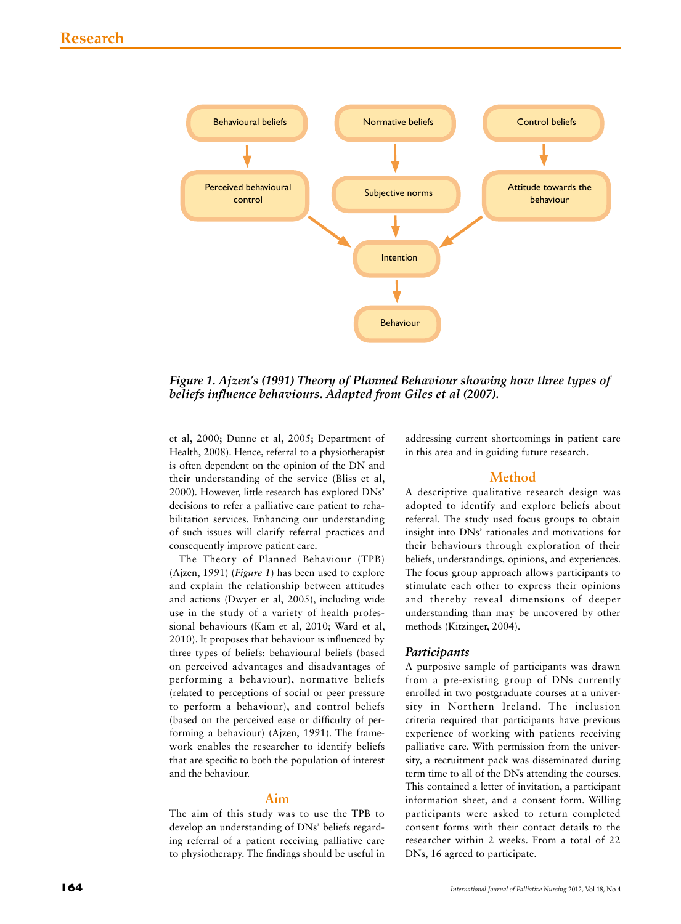

*Figure 1. Ajzen's (1991) Theory of Planned Behaviour showing how three types of beliefs influence behaviours. Adapted from Giles et al (2007).*

et al, 2000; Dunne et al, 2005; Department of Health, 2008). Hence, referral to a physiotherapist is often dependent on the opinion of the DN and their understanding of the service (Bliss et al, 2000). However, little research has explored DNs' decisions to refer a palliative care patient to rehabilitation services. Enhancing our understanding of such issues will clarify referral practices and consequently improve patient care.

The Theory of Planned Behaviour (TPB) (Ajzen, 1991) (*Figure 1*) has been used to explore and explain the relationship between attitudes and actions (Dwyer et al, 2005), including wide use in the study of a variety of health professional behaviours (Kam et al, 2010; Ward et al, 2010). It proposes that behaviour is influenced by three types of beliefs: behavioural beliefs (based on perceived advantages and disadvantages of performing a behaviour), normative beliefs (related to perceptions of social or peer pressure to perform a behaviour), and control beliefs (based on the perceived ease or difficulty of performing a behaviour) (Ajzen, 1991). The framework enables the researcher to identify beliefs that are specific to both the population of interest and the behaviour.

### **Aim**

The aim of this study was to use the TPB to develop an understanding of DNs' beliefs regarding referral of a patient receiving palliative care to physiotherapy. The findings should be useful in

addressing current shortcomings in patient care in this area and in guiding future research.

### **Method**

A descriptive qualitative research design was adopted to identify and explore beliefs about referral. The study used focus groups to obtain insight into DNs' rationales and motivations for their behaviours through exploration of their beliefs, understandings, opinions, and experiences. The focus group approach allows participants to stimulate each other to express their opinions and thereby reveal dimensions of deeper understanding than may be uncovered by other methods (Kitzinger, 2004).

### *Participants*

A purposive sample of participants was drawn from a pre-existing group of DNs currently enrolled in two postgraduate courses at a university in Northern Ireland. The inclusion criteria required that participants have previous experience of working with patients receiving palliative care. With permission from the university, a recruitment pack was disseminated during term time to all of the DNs attending the courses. This contained a letter of invitation, a participant information sheet, and a consent form. Willing participants were asked to return completed consent forms with their contact details to the researcher within 2 weeks. From a total of 22 DNs, 16 agreed to participate.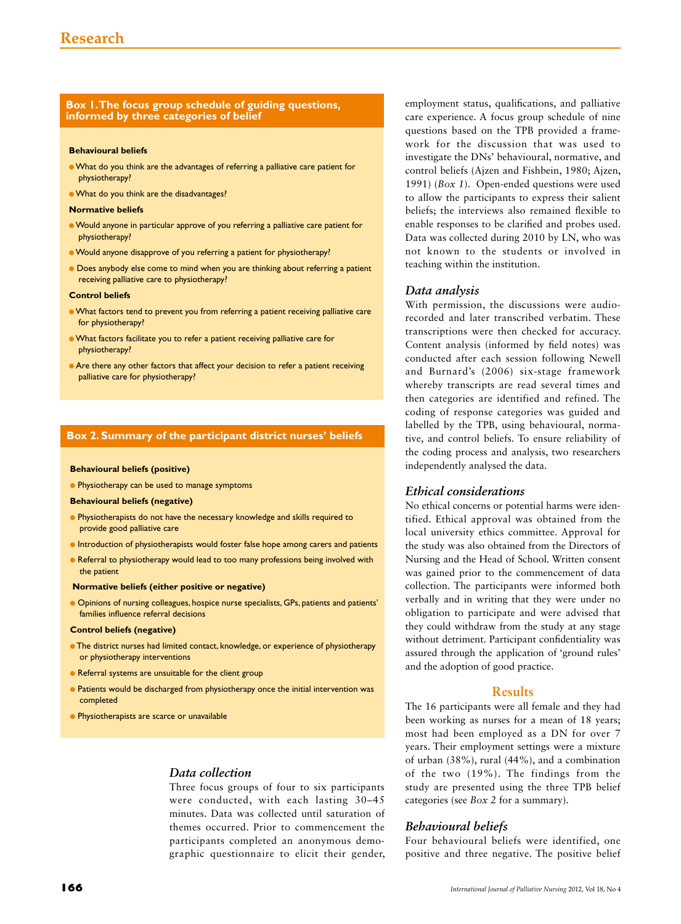#### **Box 1. The focus group schedule of guiding questions, informed by three categories of belief**

#### **Behavioural beliefs**

- What do you think are the advantages of referring a palliative care patient for physiotherapy?
- What do you think are the disadvantages?

#### **Normative beliefs**

- Would anyone in particular approve of you referring a palliative care patient for physiotherapy?
- Would anyone disapprove of you referring a patient for physiotherapy?
- Does anybody else come to mind when you are thinking about referring a patient receiving palliative care to physiotherapy?

#### **Control beliefs**

- What factors tend to prevent you from referring a patient receiving palliative care for physiotherapy?
- What factors facilitate you to refer a patient receiving palliative care for physiotherapy?
- Are there any other factors that affect your decision to refer a patient receiving palliative care for physiotherapy?

## **Box 2. Summary of the participant district nurses' beliefs**

#### **Behavioural beliefs (positive)**

● Physiotherapy can be used to manage symptoms

#### **Behavioural beliefs (negative)**

- Physiotherapists do not have the necessary knowledge and skills required to provide good palliative care
- Introduction of physiotherapists would foster false hope among carers and patients
- Referral to physiotherapy would lead to too many professions being involved with the patient

#### **Normative beliefs (either positive or negative)**

● Opinions of nursing colleagues, hospice nurse specialists, GPs, patients and patients' families influence referral decisions

#### **Control beliefs (negative)**

- The district nurses had limited contact, knowledge, or experience of physiotherapy or physiotherapy interventions
- Referral systems are unsuitable for the client group
- Patients would be discharged from physiotherapy once the initial intervention was completed
- Physiotherapists are scarce or unavailable

### *Data collection*

Three focus groups of four to six participants were conducted, with each lasting 30–45 minutes. Data was collected until saturation of themes occurred. Prior to commencement the participants completed an anonymous demographic questionnaire to elicit their gender, employment status, qualifications, and palliative care experience. A focus group schedule of nine questions based on the TPB provided a framework for the discussion that was used to investigate the DNs' behavioural, normative, and control beliefs (Ajzen and Fishbein, 1980; Ajzen, 1991) (*Box 1*). Open-ended questions were used to allow the participants to express their salient beliefs; the interviews also remained flexible to enable responses to be clarified and probes used. Data was collected during 2010 by LN, who was not known to the students or involved in teaching within the institution.

### *Data analysis*

With permission, the discussions were audiorecorded and later transcribed verbatim. These transcriptions were then checked for accuracy. Content analysis (informed by field notes) was conducted after each session following Newell and Burnard's (2006) six-stage framework whereby transcripts are read several times and then categories are identified and refined. The coding of response categories was guided and labelled by the TPB, using behavioural, normative, and control beliefs. To ensure reliability of the coding process and analysis, two researchers independently analysed the data.

## *Ethical considerations*

No ethical concerns or potential harms were identified. Ethical approval was obtained from the local university ethics committee. Approval for the study was also obtained from the Directors of Nursing and the Head of School. Written consent was gained prior to the commencement of data collection. The participants were informed both verbally and in writing that they were under no obligation to participate and were advised that they could withdraw from the study at any stage without detriment. Participant confidentiality was assured through the application of 'ground rules' and the adoption of good practice.

### **Results**

The 16 participants were all female and they had been working as nurses for a mean of 18 years; most had been employed as a DN for over 7 years. Their employment settings were a mixture of urban (38%), rural (44%), and a combination of the two (19%). The findings from the study are presented using the three TPB belief categories (see *Box 2* for a summary).

### *Behavioural beliefs*

Four behavioural beliefs were identified, one positive and three negative. The positive belief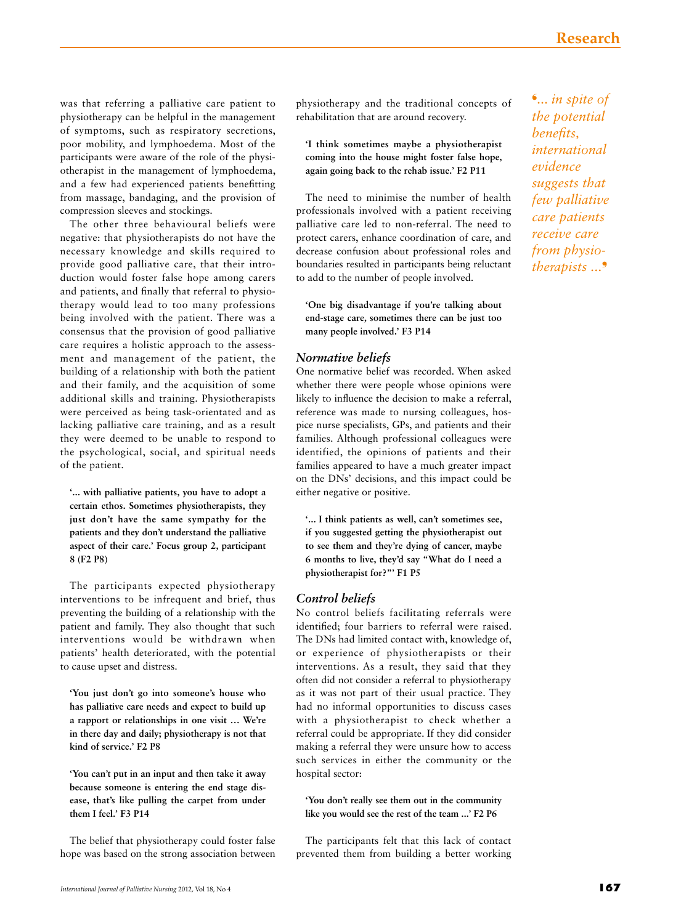was that referring a palliative care patient to physiotherapy can be helpful in the management of symptoms, such as respiratory secretions, poor mobility, and lymphoedema. Most of the participants were aware of the role of the physiotherapist in the management of lymphoedema, and a few had experienced patients benefitting from massage, bandaging, and the provision of compression sleeves and stockings.

The other three behavioural beliefs were negative: that physiotherapists do not have the necessary knowledge and skills required to provide good palliative care, that their introduction would foster false hope among carers and patients, and finally that referral to physiotherapy would lead to too many professions being involved with the patient. There was a consensus that the provision of good palliative care requires a holistic approach to the assessment and management of the patient, the building of a relationship with both the patient and their family, and the acquisition of some additional skills and training. Physiotherapists were perceived as being task-orientated and as lacking palliative care training, and as a result they were deemed to be unable to respond to the psychological, social, and spiritual needs of the patient.

**'... with palliative patients, you have to adopt a certain ethos. Sometimes physiotherapists, they just don't have the same sympathy for the patients and they don't understand the palliative aspect of their care.' Focus group 2, participant 8 (F2 P8)**

The participants expected physiotherapy interventions to be infrequent and brief, thus preventing the building of a relationship with the patient and family. They also thought that such interventions would be withdrawn when patients' health deteriorated, with the potential to cause upset and distress.

**'You just don't go into someone's house who has palliative care needs and expect to build up a rapport or relationships in one visit … We're in there day and daily; physiotherapy is not that kind of service.' F2 P8**

**'You can't put in an input and then take it away because someone is entering the end stage disease, that's like pulling the carpet from under them I feel.' F3 P14**

The belief that physiotherapy could foster false hope was based on the strong association between

physiotherapy and the traditional concepts of rehabilitation that are around recovery.

**'I think sometimes maybe a physiotherapist coming into the house might foster false hope, again going back to the rehab issue.' F2 P11**

The need to minimise the number of health professionals involved with a patient receiving palliative care led to non-referral. The need to protect carers, enhance coordination of care, and decrease confusion about professional roles and boundaries resulted in participants being reluctant to add to the number of people involved.

**'One big disadvantage if you're talking about end-stage care, sometimes there can be just too many people involved.' F3 P14**

## *Normative beliefs*

One normative belief was recorded. When asked whether there were people whose opinions were likely to influence the decision to make a referral, reference was made to nursing colleagues, hospice nurse specialists, GPs, and patients and their families. Although professional colleagues were identified, the opinions of patients and their families appeared to have a much greater impact on the DNs' decisions, and this impact could be either negative or positive.

**'... I think patients as well, can't sometimes see, if you suggested getting the physiotherapist out to see them and they're dying of cancer, maybe 6 months to live, they'd say "What do I need a physiotherapist for?"' F1 P5**

## *Control beliefs*

No control beliefs facilitating referrals were identified; four barriers to referral were raised. The DNs had limited contact with, knowledge of, or experience of physiotherapists or their interventions. As a result, they said that they often did not consider a referral to physiotherapy as it was not part of their usual practice. They had no informal opportunities to discuss cases with a physiotherapist to check whether a referral could be appropriate. If they did consider making a referral they were unsure how to access such services in either the community or the hospital sector:

**'You don't really see them out in the community like you would see the rest of the team ...' F2 P6**

The participants felt that this lack of contact prevented them from building a better working ❛*... in spite of the potential benefits, international evidence suggests that few palliative care patients receive care from physiotherapists ...*❜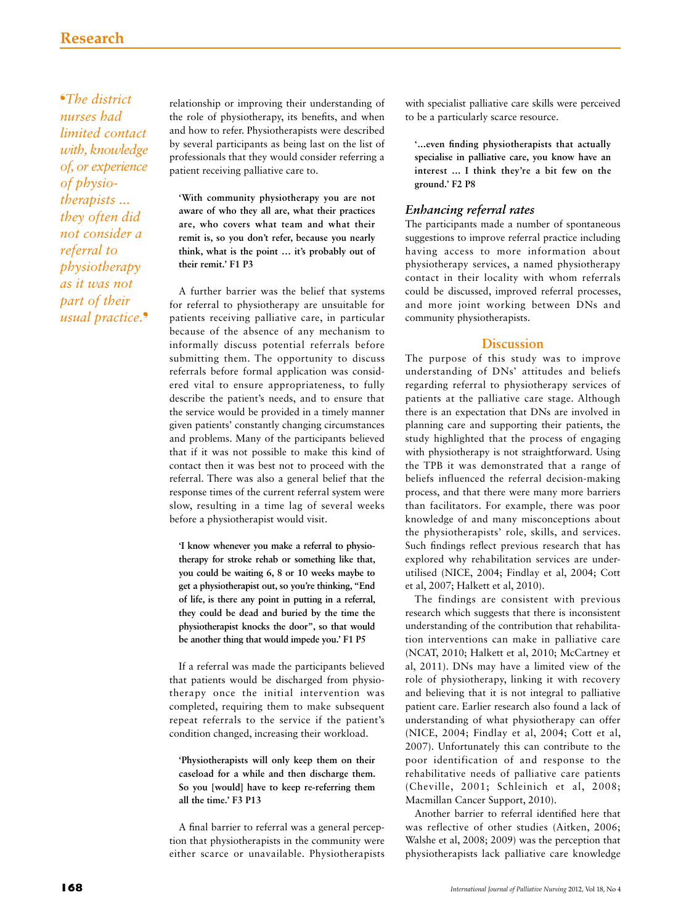## **Research**

❛*The district nurses had limited contact with, knowledge of, or experience of physiotherapists ... they often did not consider a referral to physiotherapy as it was not part of their usual practice.*❜

relationship or improving their understanding of the role of physiotherapy, its benefits, and when and how to refer. Physiotherapists were described by several participants as being last on the list of professionals that they would consider referring a patient receiving palliative care to.

**'With community physiotherapy you are not aware of who they all are, what their practices are, who covers what team and what their remit is, so you don't refer, because you nearly think, what is the point … it's probably out of their remit.' F1 P3**

A further barrier was the belief that systems for referral to physiotherapy are unsuitable for patients receiving palliative care, in particular because of the absence of any mechanism to informally discuss potential referrals before submitting them. The opportunity to discuss referrals before formal application was considered vital to ensure appropriateness, to fully describe the patient's needs, and to ensure that the service would be provided in a timely manner given patients' constantly changing circumstances and problems. Many of the participants believed that if it was not possible to make this kind of contact then it was best not to proceed with the referral. There was also a general belief that the response times of the current referral system were slow, resulting in a time lag of several weeks before a physiotherapist would visit.

**'I know whenever you make a referral to physiotherapy for stroke rehab or something like that, you could be waiting 6, 8 or 10 weeks maybe to get a physiotherapist out, so you're thinking, "End of life, is there any point in putting in a referral, they could be dead and buried by the time the physiotherapist knocks the door", so that would be another thing that would impede you.' F1 P5**

If a referral was made the participants believed that patients would be discharged from physiotherapy once the initial intervention was completed, requiring them to make subsequent repeat referrals to the service if the patient's condition changed, increasing their workload.

**'Physiotherapists will only keep them on their caseload for a while and then discharge them. So you [would] have to keep re-referring them all the time.' F3 P13**

A final barrier to referral was a general perception that physiotherapists in the community were either scarce or unavailable. Physiotherapists with specialist palliative care skills were perceived to be a particularly scarce resource.

**'...even finding physiotherapists that actually specialise in palliative care, you know have an interest ... I think they're a bit few on the ground.' F2 P8**

#### *Enhancing referral rates*

The participants made a number of spontaneous suggestions to improve referral practice including having access to more information about physiotherapy services, a named physiotherapy contact in their locality with whom referrals could be discussed, improved referral processes, and more joint working between DNs and community physiotherapists.

### **Discussion**

The purpose of this study was to improve understanding of DNs' attitudes and beliefs regarding referral to physiotherapy services of patients at the palliative care stage. Although there is an expectation that DNs are involved in planning care and supporting their patients, the study highlighted that the process of engaging with physiotherapy is not straightforward. Using the TPB it was demonstrated that a range of beliefs influenced the referral decision-making process, and that there were many more barriers than facilitators. For example, there was poor knowledge of and many misconceptions about the physiotherapists' role, skills, and services. Such findings reflect previous research that has explored why rehabilitation services are underutilised (NICE, 2004; Findlay et al, 2004; Cott et al, 2007; Halkett et al, 2010).

The findings are consistent with previous research which suggests that there is inconsistent understanding of the contribution that rehabilitation interventions can make in palliative care (NCAT, 2010; Halkett et al, 2010; McCartney et al, 2011). DNs may have a limited view of the role of physiotherapy, linking it with recovery and believing that it is not integral to palliative patient care. Earlier research also found a lack of understanding of what physiotherapy can offer (NICE, 2004; Findlay et al, 2004; Cott et al, 2007). Unfortunately this can contribute to the poor identification of and response to the rehabilitative needs of palliative care patients (Cheville, 2001; Schleinich et al, 2008; Macmillan Cancer Support, 2010).

Another barrier to referral identified here that was reflective of other studies (Aitken, 2006; Walshe et al, 2008; 2009) was the perception that physiotherapists lack palliative care knowledge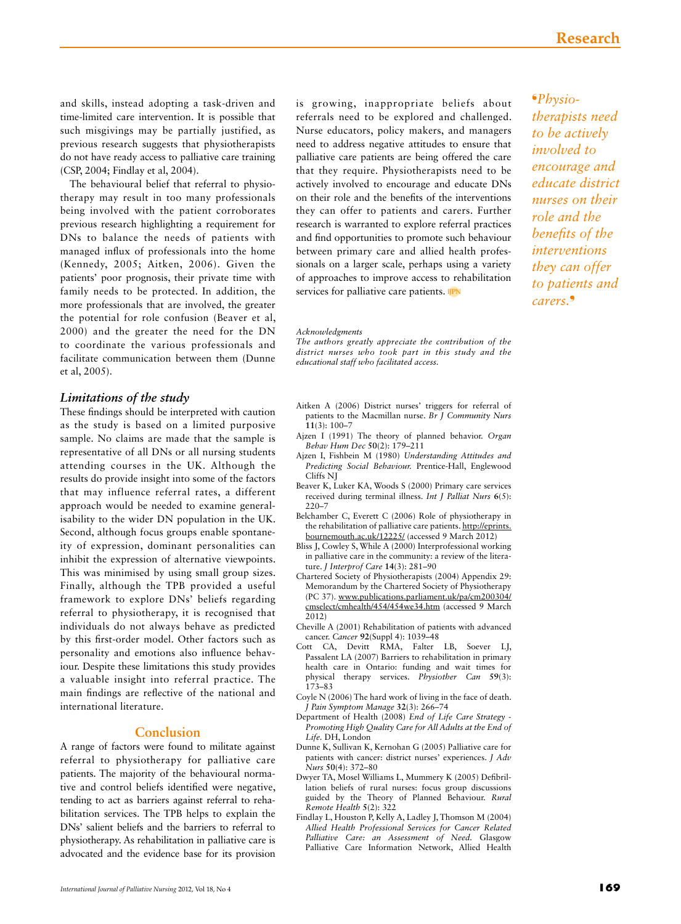and skills, instead adopting a task-driven and time-limited care intervention. It is possible that such misgivings may be partially justified, as previous research suggests that physiotherapists do not have ready access to palliative care training (CSP, 2004; Findlay et al, 2004).

The behavioural belief that referral to physiotherapy may result in too many professionals being involved with the patient corroborates previous research highlighting a requirement for DNs to balance the needs of patients with managed influx of professionals into the home (Kennedy, 2005; Aitken, 2006). Given the patients' poor prognosis, their private time with family needs to be protected. In addition, the more professionals that are involved, the greater the potential for role confusion (Beaver et al, 2000) and the greater the need for the DN to coordinate the various professionals and facilitate communication between them (Dunne et al, 2005).

## *Limitations of the study*

These findings should be interpreted with caution as the study is based on a limited purposive sample. No claims are made that the sample is representative of all DNs or all nursing students attending courses in the UK. Although the results do provide insight into some of the factors that may influence referral rates, a different approach would be needed to examine generalisability to the wider DN population in the UK. Second, although focus groups enable spontaneity of expression, dominant personalities can inhibit the expression of alternative viewpoints. This was minimised by using small group sizes. Finally, although the TPB provided a useful framework to explore DNs' beliefs regarding referral to physiotherapy, it is recognised that individuals do not always behave as predicted by this first-order model. Other factors such as personality and emotions also influence behaviour. Despite these limitations this study provides a valuable insight into referral practice. The main findings are reflective of the national and international literature.

#### **Conclusion**

A range of factors were found to militate against referral to physiotherapy for palliative care patients. The majority of the behavioural normative and control beliefs identified were negative, tending to act as barriers against referral to rehabilitation services. The TPB helps to explain the DNs' salient beliefs and the barriers to referral to physiotherapy. As rehabilitation in palliative care is advocated and the evidence base for its provision

is growing, inappropriate beliefs about referrals need to be explored and challenged. Nurse educators, policy makers, and managers need to address negative attitudes to ensure that palliative care patients are being offered the care that they require. Physiotherapists need to be actively involved to encourage and educate DNs on their role and the benefits of the interventions they can offer to patients and carers. Further research is warranted to explore referral practices and find opportunities to promote such behaviour between primary care and allied health professionals on a larger scale, perhaps using a variety of approaches to improve access to rehabilitation services for palliative care patients.

## *therapists need to be actively involved to encourage and educate district nurses on their role and the benefits of the interventions they can offer to patients and carers.*❜

❛*Physio-*

#### *Acknowledgments*

*The authors greatly appreciate the contribution of the district nurses who took part in this study and the educational staff who facilitated access.*

- Aitken A (2006) District nurses' triggers for referral of patients to the Macmillan nurse. *Br J Community Nurs*  **11**(3): 100–7
- Ajzen I (1991) The theory of planned behavior. *Organ Behav Hum Dec* **50**(2): 179–211
- Ajzen I, Fishbein M (1980) *Understanding Attitudes and Predicting Social Behaviour.* Prentice-Hall, Englewood Cliffs NJ
- Beaver K, Luker KA, Woods S (2000) Primary care services received during terminal illness. *Int J Palliat Nurs* **6**(5): 220–7
- Belchamber C, Everett C (2006) Role of physiotherapy in the rehabilitation of palliative care patients. http://eprints. bournemouth.ac.uk/12225/ (accessed 9 March 2012)
- Bliss J, Cowley S, While A (2000) Interprofessional working in palliative care in the community: a review of the literature. *J Interprof Care* **14**(3): 281–90
- Chartered Society of Physiotherapists (2004) Appendix 29: Memorandum by the Chartered Society of Physiotherapy (PC 37). www.publications.parliament.uk/pa/cm200304/ cmselect/cmhealth/454/454we34.htm (accessed 9 March 2012)
- Cheville A (2001) Rehabilitation of patients with advanced cancer. *Cancer* **92**(Suppl 4): 1039–48
- Cott CA, Devitt RMA, Falter LB, Soever LJ, Passalent LA (2007) Barriers to rehabilitation in primary health care in Ontario: funding and wait times for physical therapy services. *Physiother Can* **59**(3): 173–83
- Coyle N (2006) The hard work of living in the face of death. *J Pain Symptom Manage* **32**(3): 266–74
- Department of Health (2008) *End of Life Care Strategy Promoting High Quality Care for All Adults at the End of Life.* DH, London
- Dunne K, Sullivan K, Kernohan G (2005) Palliative care for patients with cancer: district nurses' experiences. *J Adv Nurs* **50**(4): 372–80
- Dwyer TA, Mosel Williams L, Mummery K (2005) Defibrillation beliefs of rural nurses: focus group discussions guided by the Theory of Planned Behaviour. *Rural Remote Health* **5**(2): 322
- Findlay L, Houston P, Kelly A, Ladley J, Thomson M (2004) *Allied Health Professional Services for Cancer Related Palliative Care: an Assessment of Need.* Glasgow Palliative Care Information Network, Allied Health